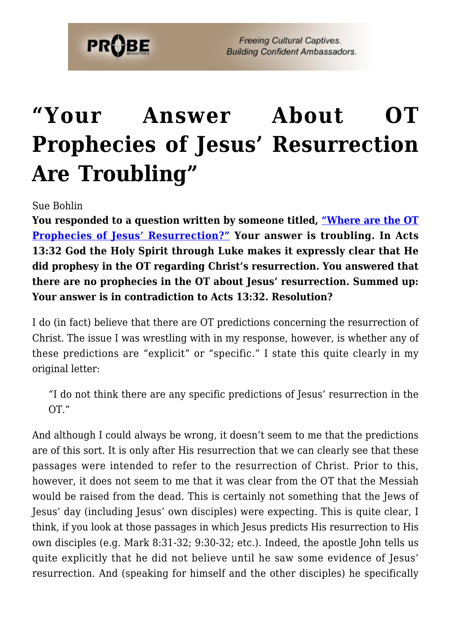

**Freeing Cultural Captives. Building Confident Ambassadors.** 

## **["Your Answer About OT](https://probe.org/your-answer-about-ot-prophecies-of-jesus-resurrection-are-troubling/) [Prophecies of Jesus' Resurrection](https://probe.org/your-answer-about-ot-prophecies-of-jesus-resurrection-are-troubling/) [Are Troubling"](https://probe.org/your-answer-about-ot-prophecies-of-jesus-resurrection-are-troubling/)**

Sue Bohlin

**You responded to a question written by someone titled, ["Where are the OT](https://www.probe.org/where-are-the-old-testament-prophecies-of-jesus-resurrection/) [Prophecies of Jesus' Resurrection?"](https://www.probe.org/where-are-the-old-testament-prophecies-of-jesus-resurrection/) Your answer is troubling. In Acts 13:32 God the Holy Spirit through Luke makes it expressly clear that He did prophesy in the OT regarding Christ's resurrection. You answered that there are no prophecies in the OT about Jesus' resurrection. Summed up: Your answer is in contradiction to Acts 13:32. Resolution?**

I do (in fact) believe that there are OT predictions concerning the resurrection of Christ. The issue I was wrestling with in my response, however, is whether any of these predictions are "explicit" or "specific." I state this quite clearly in my original letter:

"I do not think there are any specific predictions of Jesus' resurrection in the OT."

And although I could always be wrong, it doesn't seem to me that the predictions are of this sort. It is only after His resurrection that we can clearly see that these passages were intended to refer to the resurrection of Christ. Prior to this, however, it does not seem to me that it was clear from the OT that the Messiah would be raised from the dead. This is certainly not something that the Jews of Jesus' day (including Jesus' own disciples) were expecting. This is quite clear, I think, if you look at those passages in which Jesus predicts His resurrection to His own disciples (e.g. Mark 8:31-32; 9:30-32; etc.). Indeed, the apostle John tells us quite explicitly that he did not believe until he saw some evidence of Jesus' resurrection. And (speaking for himself and the other disciples) he specifically